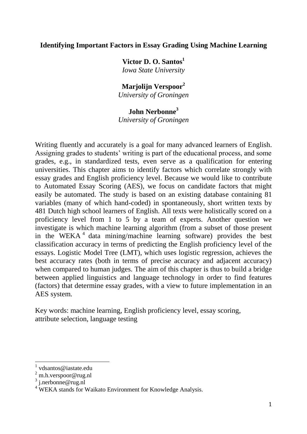## **Identifying Important Factors in Essay Grading Using Machine Learning**

**Victor D. O. Santos<sup>1</sup>** *Iowa State University* 

**Marjolijn Verspoor<sup>2</sup>** *University of Groningen*

# **John Nerbonne<sup>3</sup>**

*University of Groningen*

Writing fluently and accurately is a goal for many advanced learners of English. Assigning grades to students' writing is part of the educational process, and some grades, e.g., in standardized tests, even serve as a qualification for entering universities. This chapter aims to identify factors which correlate strongly with essay grades and English proficiency level. Because we would like to contribute to Automated Essay Scoring (AES), we focus on candidate factors that might easily be automated. The study is based on an existing database containing 81 variables (many of which hand-coded) in spontaneously, short written texts by 481 Dutch high school learners of English. All texts were holistically scored on a proficiency level from 1 to 5 by a team of experts. Another question we investigate is which machine learning algorithm (from a subset of those present in the WEKA<sup>4</sup> data mining/machine learning software) provides the best classification accuracy in terms of predicting the English proficiency level of the essays. Logistic Model Tree (LMT), which uses logistic regression, achieves the best accuracy rates (both in terms of precise accuracy and adjacent accuracy) when compared to human judges. The aim of this chapter is thus to build a bridge between applied linguistics and language technology in order to find features (factors) that determine essay grades, with a view to future implementation in an AES system.

Key words: machine learning, English proficiency level, essay scoring, attribute selection, language testing

 $\overline{\phantom{a}}$ 

<sup>1</sup> vdsantos@iastate.edu

 $2$  m.h.verspoor@rug.nl

<sup>&</sup>lt;sup>3</sup> j.nerbonne@rug.nl

<sup>&</sup>lt;sup>4</sup> WEKA stands for Waikato Environment for Knowledge Analysis.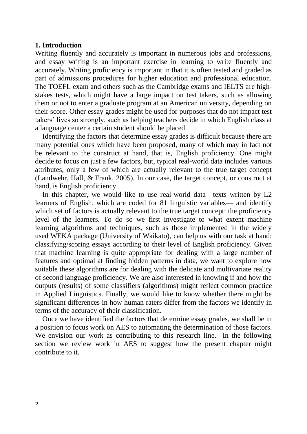#### **1. Introduction**

Writing fluently and accurately is important in numerous jobs and professions, and essay writing is an important exercise in learning to write fluently and accurately. Writing proficiency is important in that it is often tested and graded as part of admissions procedures for higher education and professional education. The TOEFL exam and others such as the Cambridge exams and IELTS are highstakes tests, which might have a large impact on test takers, such as allowing them or not to enter a graduate program at an American university, depending on their score. Other essay grades might be used for purposes that do not impact test takers' lives so strongly, such as helping teachers decide in which English class at a language center a certain student should be placed.

Identifying the factors that determine essay grades is difficult because there are many potential ones which have been proposed, many of which may in fact not be relevant to the construct at hand, that is, English proficiency. One might decide to focus on just a few factors, but, typical real-world data includes various attributes, only a few of which are actually relevant to the true target concept (Landwehr, Hall, & Frank, 2005). In our case, the target concept, or construct at hand, is English proficiency.

In this chapter, we would like to use real-world data—texts written by L2 learners of English, which are coded for 81 linguistic variables— and identify which set of factors is actually relevant to the true target concept: the proficiency level of the learners. To do so we first investigate to what extent machine learning algorithms and techniques, such as those implemented in the widely used WEKA package (University of Waikato), can help us with our task at hand: classifying/scoring essays according to their level of English proficiency. Given that machine learning is quite appropriate for dealing with a large number of features and optimal at finding hidden patterns in data, we want to explore how suitable these algorithms are for dealing with the delicate and multivariate reality of second language proficiency. We are also interested in knowing if and how the outputs (results) of some classifiers (algorithms) might reflect common practice in Applied Linguistics. Finally, we would like to know whether there might be significant differences in how human raters differ from the factors we identify in terms of the accuracy of their classification.

Once we have identified the factors that determine essay grades, we shall be in a position to focus work on AES to automating the determination of those factors. We envision our work as contributing to this research line. In the following section we review work in AES to suggest how the present chapter might contribute to it.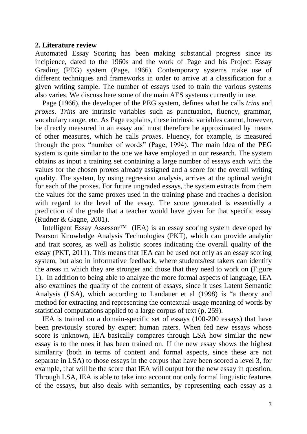#### **2. Literature review**

Automated Essay Scoring has been making substantial progress since its incipience, dated to the 1960s and the work of Page and his Project Essay Grading (PEG) system (Page, 1966). Contemporary systems make use of different techniques and frameworks in order to arrive at a classification for a given writing sample. The number of essays used to train the various systems also varies. We discuss here some of the main AES systems currently in use.

Page (1966), the developer of the PEG system, defines what he calls *trins* and *proxes*. *Trins* are intrinsic variables such as punctuation, fluency, grammar, vocabulary range, etc. As Page explains, these intrinsic variables cannot, however, be directly measured in an essay and must therefore be approximated by means of other measures, which he calls *proxes*. Fluency, for example, is measured through the prox "number of words" (Page, 1994). The main idea of the PEG system is quite similar to the one we have employed in our research. The system obtains as input a training set containing a large number of essays each with the values for the chosen proxes already assigned and a score for the overall writing quality. The system, by using regression analysis, arrives at the optimal weight for each of the proxes. For future ungraded essays, the system extracts from them the values for the same proxes used in the training phase and reaches a decision with regard to the level of the essay. The score generated is essentially a prediction of the grade that a teacher would have given for that specific essay (Rudner & Gagne, 2001).

Intelligent Essay Assessor<sup>TM</sup> (IEA) is an essay scoring system developed by Pearson Knowledge Analysis Technologies (PKT), which can provide analytic and trait scores, as well as holistic scores indicating the overall quality of the essay (PKT, 2011). This means that IEA can be used not only as an essay scoring system, but also in informative feedback, where students/test takers can identify the areas in which they are stronger and those that they need to work on (Figure 1). In addition to being able to analyze the more formal aspects of language, IEA also examines the quality of the content of essays, since it uses Latent Semantic Analysis (LSA), which according to Landauer et al (1998) is "a theory and method for extracting and representing the contextual-usage meaning of words by statistical computations applied to a large corpus of text (p. 259).

IEA is trained on a domain-specific set of essays (100-200 essays) that have been previously scored by expert human raters. When fed new essays whose score is unknown, IEA basically compares through LSA how similar the new essay is to the ones it has been trained on. If the new essay shows the highest similarity (both in terms of content and formal aspects, since these are not separate in LSA) to those essays in the corpus that have been scored a level 3, for example, that will be the score that IEA will output for the new essay in question. Through LSA, IEA is able to take into account not only formal linguistic features of the essays, but also deals with semantics, by representing each essay as a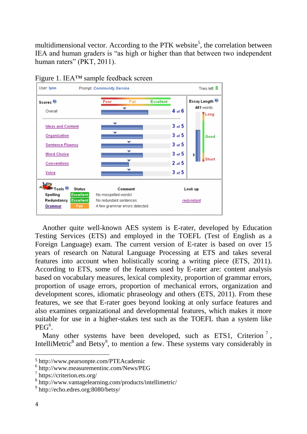multidimensional vector. According to the PTK website<sup>5</sup>, the correlation between IEA and human graders is "as high or higher than that between two independent human raters" (PKT, 2011).





Another quite well-known AES system is E-rater, developed by Education Testing Services (ETS) and employed in the TOEFL (Test of English as a Foreign Language) exam. The current version of E-rater is based on over 15 years of research on Natural Language Processing at ETS and takes several features into account when holistically scoring a writing piece (ETS, 2011). According to ETS, some of the features used by E-rater are: content analysis based on vocabulary measures, lexical complexity, proportion of grammar errors, proportion of usage errors, proportion of mechanical errors, organization and development scores, idiomatic phraseology and others (ETS, 2011). From these features, we see that E-rater goes beyond looking at only surface features and also examines organizational and developmental features, which makes it more suitable for use in a higher-stakes test such as the TOEFL than a system like  $PEG<sup>6</sup>$ .

Many other systems have been developed, such as ETS1, Criterion<sup>7</sup>, IntelliMetric<sup>8</sup> and Betsy<sup>9</sup>, to mention a few. These systems vary considerably in

 $\overline{a}$ 

<sup>5</sup> http://www.pearsonpte.com/PTEAcademic

<sup>6</sup> http://www.measurementinc.com/News/PEG

<sup>7</sup> https://criterion.ets.org/

<sup>8</sup> http://www.vantagelearning.com/products/intellimetric/

<sup>9</sup> http://echo.edres.org:8080/betsy/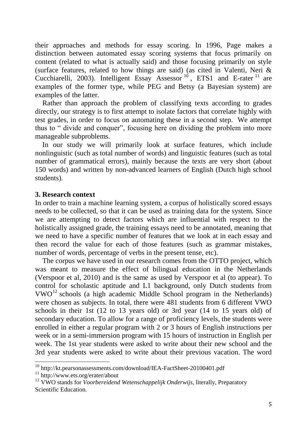their approaches and methods for essay scoring. In 1996, Page makes a distinction between automated essay scoring systems that focus primarily on content (related to what is actually said) and those focusing primarily on style (surface features, related to how things are said) (as cited in Valenti, Neri & Cucchiarelli, 2003). Intelligent Essay Assessor<sup>10</sup>, ETS1 and E-rater<sup>11</sup> are examples of the former type, while PEG and Betsy (a Bayesian system) are examples of the latter.

Rather than approach the problem of classifying texts according to grades directly, our strategy is to first attempt to isolate factors that correlate highly with test grades, in order to focus on automating these in a second step. We attempt thus to " divide and conquer", focusing here on dividing the problem into more manageable subproblems.

In our study we will primarily look at surface features, which include nonlinguistic (such as total number of words) and linguistic features (such as total number of grammatical errors), mainly because the texts are very short (about 150 words) and written by non-advanced learners of English (Dutch high school students).

### **3. Research context**

In order to train a machine learning system, a corpus of holistically scored essays needs to be collected, so that it can be used as training data for the system. Since we are attempting to detect factors which are influential with respect to the holistically assigned grade, the training essays need to be annotated, meaning that we need to have a specific number of features that we look at in each essay and then record the value for each of those features (such as grammar mistakes, number of words, percentage of verbs in the present tense, etc).

The corpus we have used in our research comes from the OTTO project, which was meant to measure the effect of bilingual education in the Netherlands (Verspoor et al, 2010) and is the same as used by Verspoor et al (to appear). To control for scholastic aptitude and L1 background, only Dutch students from VWO<sup>12</sup> schools (a high academic Middle School program in the Netherlands) were chosen as subjects. In total, there were 481 students from 6 different VWO schools in their 1st (12 to 13 years old) or 3rd year (14 to 15 years old) of secondary education. To allow for a range of proficiency levels, the students were enrolled in either a regular program with 2 or 3 hours of English instructions per week or in a semi-immersion program with 15 hours of instruction in English per week. The 1st year students were asked to write about their new school and the 3rd year students were asked to write about their previous vacation. The word

 $\overline{\phantom{a}}$ 

<sup>&</sup>lt;sup>10</sup> http://kt.pearsonassessments.com/download/IEA-FactSheet-20100401.pdf

<sup>11</sup> http://www.ets.org/erater/about

<sup>12</sup> VWO stands for *Voorbereidend Wetenschappelijk Onderwijs*, literally, Preparatory Scientific Education.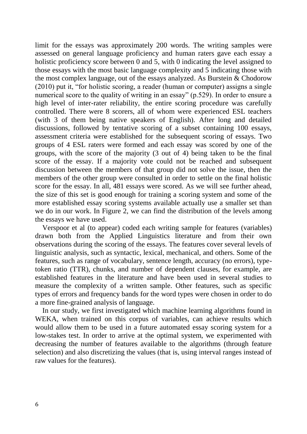limit for the essays was approximately 200 words. The writing samples were assessed on general language proficiency and human raters gave each essay a holistic proficiency score between 0 and 5, with 0 indicating the level assigned to those essays with the most basic language complexity and 5 indicating those with the most complex language, out of the essays analyzed. As Burstein & Chodorow (2010) put it, "for holistic scoring, a reader (human or computer) assigns a single numerical score to the quality of writing in an essay" (p.529). In order to ensure a high level of inter-rater reliability, the entire scoring procedure was carefully controlled. There were 8 scorers, all of whom were experienced ESL teachers (with 3 of them being native speakers of English). After long and detailed discussions, followed by tentative scoring of a subset containing 100 essays, assessment criteria were established for the subsequent scoring of essays. Two groups of 4 ESL raters were formed and each essay was scored by one of the groups, with the score of the majority (3 out of 4) being taken to be the final score of the essay. If a majority vote could not be reached and subsequent discussion between the members of that group did not solve the issue, then the members of the other group were consulted in order to settle on the final holistic score for the essay. In all, 481 essays were scored. As we will see further ahead, the size of this set is good enough for training a scoring system and some of the more established essay scoring systems available actually use a smaller set than we do in our work. In Figure 2, we can find the distribution of the levels among the essays we have used.

Verspoor et al (to appear) coded each writing sample for features (variables) drawn both from the Applied Linguistics literature and from their own observations during the scoring of the essays. The features cover several levels of linguistic analysis, such as syntactic, lexical, mechanical, and others. Some of the features, such as range of vocabulary, sentence length, accuracy (no errors), typetoken ratio (TTR), chunks, and number of dependent clauses, for example, are established features in the literature and have been used in several studies to measure the complexity of a written sample. Other features, such as specific types of errors and frequency bands for the word types were chosen in order to do a more fine-grained analysis of language.

In our study, we first investigated which machine learning algorithms found in WEKA, when trained on this corpus of variables, can achieve results which would allow them to be used in a future automated essay scoring system for a low-stakes test. In order to arrive at the optimal system, we experimented with decreasing the number of features available to the algorithms (through feature selection) and also discretizing the values (that is, using interval ranges instead of raw values for the features).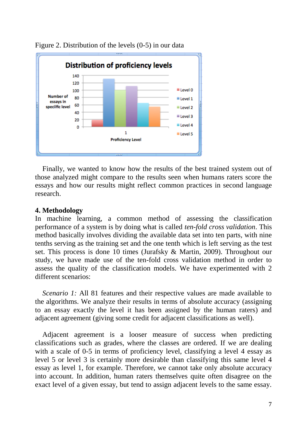

Figure 2. Distribution of the levels (0-5) in our data

Finally, we wanted to know how the results of the best trained system out of those analyzed might compare to the results seen when humans raters score the essays and how our results might reflect common practices in second language research.

### **4. Methodology**

In machine learning, a common method of assessing the classification performance of a system is by doing what is called *ten-fold cross validation*. This method basically involves dividing the available data set into ten parts, with nine tenths serving as the training set and the one tenth which is left serving as the test set. This process is done 10 times (Jurafsky & Martin, 2009). Throughout our study, we have made use of the ten-fold cross validation method in order to assess the quality of the classification models. We have experimented with 2 different scenarios:

*Scenario 1:* All 81 features and their respective values are made available to the algorithms. We analyze their results in terms of absolute accuracy (assigning to an essay exactly the level it has been assigned by the human raters) and adjacent agreement (giving some credit for adjacent classifications as well).

Adjacent agreement is a looser measure of success when predicting classifications such as grades, where the classes are ordered. If we are dealing with a scale of 0-5 in terms of proficiency level, classifying a level 4 essay as level 5 or level 3 is certainly more desirable than classifying this same level 4 essay as level 1, for example. Therefore, we cannot take only absolute accuracy into account. In addition, human raters themselves quite often disagree on the exact level of a given essay, but tend to assign adjacent levels to the same essay.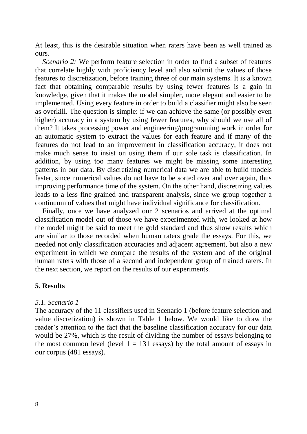At least, this is the desirable situation when raters have been as well trained as ours.

*Scenario 2:* We perform feature selection in order to find a subset of features that correlate highly with proficiency level and also submit the values of those features to discretization, before training three of our main systems. It is a known fact that obtaining comparable results by using fewer features is a gain in knowledge, given that it makes the model simpler, more elegant and easier to be implemented. Using every feature in order to build a classifier might also be seen as overkill. The question is simple: if we can achieve the same (or possibly even higher) accuracy in a system by using fewer features, why should we use all of them? It takes processing power and engineering/programming work in order for an automatic system to extract the values for each feature and if many of the features do not lead to an improvement in classification accuracy, it does not make much sense to insist on using them if our sole task is classification. In addition, by using too many features we might be missing some interesting patterns in our data. By discretizing numerical data we are able to build models faster, since numerical values do not have to be sorted over and over again, thus improving performance time of the system. On the other hand, discretizing values leads to a less fine-grained and transparent analysis, since we group together a continuum of values that might have individual significance for classification.

Finally, once we have analyzed our 2 scenarios and arrived at the optimal classification model out of those we have experimented with, we looked at how the model might be said to meet the gold standard and thus show results which are similar to those recorded when human raters grade the essays. For this, we needed not only classification accuracies and adjacent agreement, but also a new experiment in which we compare the results of the system and of the original human raters with those of a second and independent group of trained raters. In the next section, we report on the results of our experiments.

### **5. Results**

### *5.1. Scenario 1*

The accuracy of the 11 classifiers used in Scenario 1 (before feature selection and value discretization) is shown in Table 1 below. We would like to draw the reader's attention to the fact that the baseline classification accuracy for our data would be 27%, which is the result of dividing the number of essays belonging to the most common level (level  $1 = 131$  essays) by the total amount of essays in our corpus (481 essays).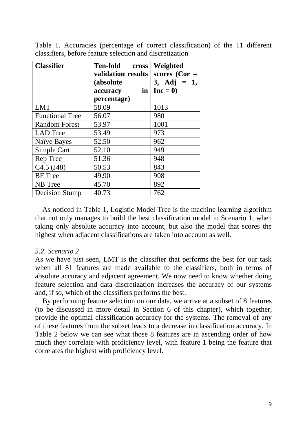Table 1. Accuracies (percentage of correct classification) of the 11 different classifiers, before feature selection and discretization

| <b>Classifier</b>      | <b>Ten-fold</b><br>cross<br>validation results | Weighted<br>scores $(Cor =$ |  |  |
|------------------------|------------------------------------------------|-----------------------------|--|--|
|                        | (absolute)                                     | 3, Adj = 1,                 |  |  |
|                        | in<br>accuracy                                 | $Inc = 0)$                  |  |  |
|                        | percentage)                                    |                             |  |  |
| <b>LMT</b>             | 58.09                                          | 1013                        |  |  |
| <b>Functional Tree</b> | 56.07                                          | 980                         |  |  |
| <b>Random Forest</b>   | 53.97                                          | 1001                        |  |  |
| <b>LAD</b> Tree        | 53.49                                          | 973                         |  |  |
| Naïve Bayes            | 52.50                                          | 962                         |  |  |
| Simple Cart            | 52.10                                          | 949                         |  |  |
| <b>Rep Tree</b>        | 51.36                                          | 948                         |  |  |
| $C4.5$ (J48)           | 50.53                                          | 843                         |  |  |
| <b>BF</b> Tree         | 49.90                                          | 908                         |  |  |
| <b>NB</b> Tree         | 45.70                                          | 892                         |  |  |
| <b>Decision Stump</b>  | 40.73                                          | 762                         |  |  |

As noticed in Table 1, Logistic Model Tree is the machine learning algorithm that not only manages to build the best classification model in Scenario 1, when taking only absolute accuracy into account, but also the model that scores the highest when adjacent classifications are taken into account as well.

### *5.2. Scenario 2*

As we have just seen, LMT is the classifier that performs the best for our task when all 81 features are made available to the classifiers, both in terms of absolute accuracy and adjacent agreement. We now need to know whether doing feature selection and data discretization increases the accuracy of our systems and, if so, which of the classifiers performs the best.

By performing feature selection on our data, we arrive at a subset of 8 features (to be discussed in more detail in Section 6 of this chapter), which together, provide the optimal classification accuracy for the systems. The removal of any of these features from the subset leads to a decrease in classification accuracy. In Table 2 below we can see what those 8 features are in ascending order of how much they correlate with proficiency level, with feature 1 being the feature that correlates the highest with proficiency level.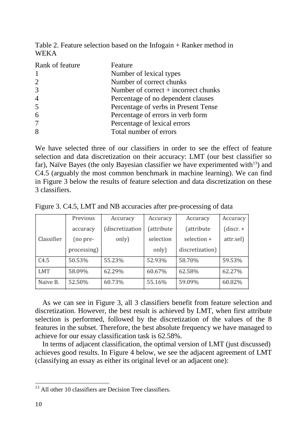Table 2. Feature selection based on the Infogain + Ranker method in WEKA

| Rank of feature | Feature                                |
|-----------------|----------------------------------------|
|                 | Number of lexical types                |
| $\overline{2}$  | Number of correct chunks               |
| 3               | Number of correct $+$ incorrect chunks |
| $\overline{4}$  | Percentage of no dependent clauses     |
| 5               | Percentage of verbs in Present Tense   |
| 6               | Percentage of errors in verb form      |
| $\overline{7}$  | Percentage of lexical errors           |
| 8               | Total number of errors                 |
|                 |                                        |

We have selected three of our classifiers in order to see the effect of feature selection and data discretization on their accuracy: LMT (our best classifier so far), Naïve Bayes (the only Bayesian classifier we have experimented with $13$ ) and C4.5 (arguably the most common benchmark in machine learning). We can find in Figure 3 below the results of feature selection and data discretization on these 3 classifiers.

Figure 3. C4.5, LMT and NB accuracies after pre-processing of data

|            | Previous    | Accuracy        | Accuracy   | Accuracy           | Accuracy    |
|------------|-------------|-----------------|------------|--------------------|-------------|
|            | accuracy    | (discretization | (attribute | <i>(attribute)</i> | $(discr. +$ |
| Classifier | (no pre-    | only)           | selection  | selection +        | attr.sel)   |
|            | processing) |                 | only)      | discretization)    |             |
| C4.5       | 50.53%      | 55.23%          | 52.93%     | 58.70%             | 59.53%      |
| LMT        | 58.09%      | 62.29%          | 60.67%     | 62.58%             | 62.27%      |
| Naïve B.   | 52.50%      | 60.73%          | 55.16%     | 59.09%             | 60.82%      |

As we can see in Figure 3, all 3 classifiers benefit from feature selection and discretization. However, the best result is achieved by LMT, when first attribute selection is performed, followed by the discretization of the values of the 8 features in the subset. Therefore, the best absolute frequency we have managed to achieve for our essay classification task is 62.58%.

In terms of adjacent classification, the optimal version of LMT (just discussed) achieves good results. In Figure 4 below, we see the adjacent agreement of LMT (classifying an essay as either its original level or an adjacent one):

 $\overline{\phantom{a}}$  $13$  All other 10 classifiers are Decision Tree classifiers.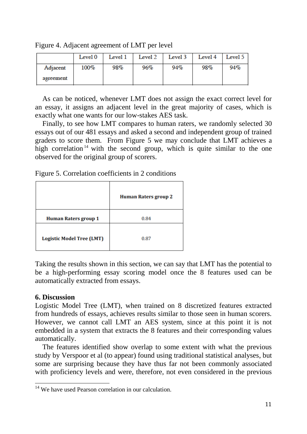|           | Level 0 | Level 1 | Level 2 | Level 3 | Level $4 \mid$ Level 5 |     |
|-----------|---------|---------|---------|---------|------------------------|-----|
| Adjacent  | $100\%$ | 98%     | 96%     | 94%     | 98%                    | 94% |
| agreement |         |         |         |         |                        |     |

Figure 4. Adjacent agreement of LMT per level

As can be noticed, whenever LMT does not assign the exact correct level for an essay, it assigns an adjacent level in the great majority of cases, which is exactly what one wants for our low-stakes AES task.

Finally, to see how LMT compares to human raters, we randomly selected 30 essays out of our 481 essays and asked a second and independent group of trained graders to score them. From Figure 5 we may conclude that LMT achieves a high correlation<sup>14</sup> with the second group, which is quite similar to the one observed for the original group of scorers.

|                                  | <b>Human Raters group 2</b> |
|----------------------------------|-----------------------------|
| <b>Human Raters group 1</b>      | 0.84                        |
| <b>Logistic Model Tree (LMT)</b> | 0.87                        |

Taking the results shown in this section, we can say that LMT has the potential to be a high-performing essay scoring model once the 8 features used can be automatically extracted from essays.

# **6. Discussion**

Logistic Model Tree (LMT), when trained on 8 discretized features extracted from hundreds of essays, achieves results similar to those seen in human scorers. However, we cannot call LMT an AES system, since at this point it is not embedded in a system that extracts the 8 features and their corresponding values automatically.

The features identified show overlap to some extent with what the previous study by Verspoor et al (to appear) found using traditional statistical analyses, but some are surprising because they have thus far not been commonly associated with proficiency levels and were, therefore, not even considered in the previous

 $\overline{\phantom{a}}$ <sup>14</sup> We have used Pearson correlation in our calculation.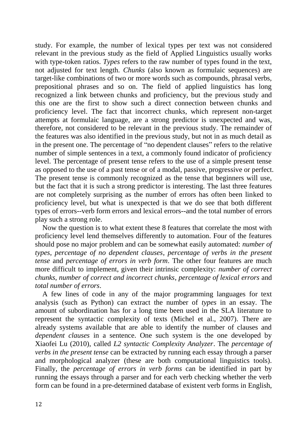study. For example, the number of lexical types per text was not considered relevant in the previous study as the field of Applied Linguistics usually works with type-token ratios. *Types* refers to the raw number of types found in the text, not adjusted for text length. *Chunks* (also known as formulaic sequences) are target-like combinations of two or more words such as compounds, phrasal verbs, prepositional phrases and so on. The field of applied linguistics has long recognized a link between chunks and proficiency, but the previous study and this one are the first to show such a direct connection between chunks and proficiency level. The fact that incorrect chunks, which represent non-target attempts at formulaic language, are a strong predictor is unexpected and was, therefore, not considered to be relevant in the previous study. The remainder of the features was also identified in the previous study, but not in as much detail as in the present one. The percentage of "no dependent clauses" refers to the relative number of simple sentences in a text, a commonly found indicator of proficiency level. The percentage of present tense refers to the use of a simple present tense as opposed to the use of a past tense or of a modal, passive, progressive or perfect. The present tense is commonly recognized as the tense that beginners will use, but the fact that it is such a strong predictor is interesting. The last three features are not completely surprising as the number of errors has often been linked to proficiency level, but what is unexpected is that we do see that both different types of errors--verb form errors and lexical errors--and the total number of errors play such a strong role.

Now the question is to what extent these 8 features that correlate the most with proficiency level lend themselves differently to automation. Four of the features should pose no major problem and can be somewhat easily automated: *number of types*, *percentage of no dependent clauses*, *percentage of verbs in the present tense* and *percentage of errors in verb form*. The other four features are much more difficult to implement, given their intrinsic complexity: *number of correct chunks*, *number of correct and incorrect chunks*, *percentage of lexical errors* and *total number of errors*.

A few lines of code in any of the major programming languages for text analysis (such as Python) can extract the number of *types* in an essay. The amount of subordination has for a long time been used in the SLA literature to represent the syntactic complexity of texts (Michel et al., 2007). There are already systems available that are able to identify the number of clauses and *dependent clauses* in a sentence. One such system is the one developed by Xiaofei Lu (2010), called *L2 syntactic Complexity Analyzer*. The *percentage of verbs in the present tense* can be extracted by running each essay through a parser and morphological analyzer (these are both computational linguistics tools). Finally, the *percentage of errors in verb forms* can be identified in part by running the essays through a parser and for each verb checking whether the verb form can be found in a pre-determined database of existent verb forms in English,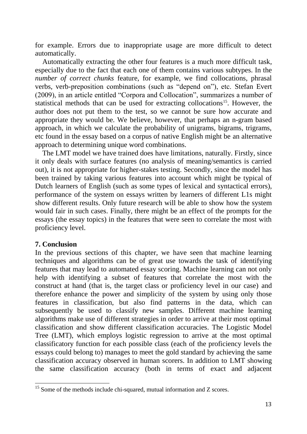for example. Errors due to inappropriate usage are more difficult to detect automatically.

Automatically extracting the other four features is a much more difficult task, especially due to the fact that each one of them contains various subtypes. In the *number of correct chunks* feature, for example, we find collocations, phrasal verbs, verb-preposition combinations (such as "depend on"), etc. Stefan Evert (2009), in an article entitled "Corpora and Collocation", summarizes a number of statistical methods that can be used for extracting collocations<sup>15</sup>. However, the author does not put them to the test, so we cannot be sure how accurate and appropriate they would be. We believe, however, that perhaps an n-gram based approach, in which we calculate the probability of unigrams, bigrams, trigrams, etc found in the essay based on a corpus of native English might be an alternative approach to determining unique word combinations.

The LMT model we have trained does have limitations, naturally. Firstly, since it only deals with surface features (no analysis of meaning/semantics is carried out), it is not appropriate for higher-stakes testing. Secondly, since the model has been trained by taking various features into account which might be typical of Dutch learners of English (such as some types of lexical and syntactical errors), performance of the system on essays written by learners of different L1s might show different results. Only future research will be able to show how the system would fair in such cases. Finally, there might be an effect of the prompts for the essays (the essay topics) in the features that were seen to correlate the most with proficiency level.

## **7. Conclusion**

 $\overline{\phantom{a}}$ 

In the previous sections of this chapter, we have seen that machine learning techniques and algorithms can be of great use towards the task of identifying features that may lead to automated essay scoring. Machine learning can not only help with identifying a subset of features that correlate the most with the construct at hand (that is, the target class or proficiency level in our case) and therefore enhance the power and simplicity of the system by using only those features in classification, but also find patterns in the data, which can subsequently be used to classify new samples. Different machine learning algorithms make use of different strategies in order to arrive at their most optimal classification and show different classification accuracies. The Logistic Model Tree (LMT), which employs logistic regression to arrive at the most optimal classificatory function for each possible class (each of the proficiency levels the essays could belong to) manages to meet the gold standard by achieving the same classification accuracy observed in human scorers. In addition to LMT showing the same classification accuracy (both in terms of exact and adjacent

<sup>&</sup>lt;sup>15</sup> Some of the methods include chi-squared, mutual information and Z scores.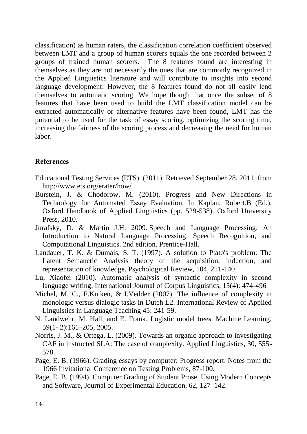classification) as human raters, the classification correlation coefficient observed between LMT and a group of human scorers equals the one recorded between 2 groups of trained human scorers. The 8 features found are interesting in themselves as they are not necessarily the ones that are commonly recognized in the Applied Linguistics literature and will contribute to insights into second language development. However, the 8 features found do not all easily lend themselves to automatic scoring. We hope though that once the subset of 8 features that have been used to build the LMT classification model can be extracted automatically or alternative features have been found, LMT has the potential to be used for the task of essay scoring, optimizing the scoring time, increasing the fairness of the scoring process and decreasing the need for human labor.

## **References**

- Educational Testing Services (ETS). (2011). Retrieved September 28, 2011, from http://www.ets.org/erater/how/
- Burstein, J. & Chodorow, M. (2010). Progress and New Directions in Technology for Automated Essay Evaluation. In Kaplan, Robert.B (Ed.), Oxford Handbook of Applied Linguistics (pp. 529-538). Oxford University Press, 2010.
- Jurafsky, D. & Martin J.H. 2009. Speech and Language Processing: An Introduction to Natural Language Processing, Speech Recognition, and Computational Linguistics. 2nd edition. Prentice-Hall.
- Landauer, T. K. & Dumais, S. T. (1997). A solution to Plato's problem: The Latent Semanctic Analysis theory of the acquisition, induction, and representation of knowledge. Psychological Review, 104, 211-140
- Lu, Xiaofei (2010). Automatic analysis of syntactic complexity in second language writing. International Journal of Corpus Linguistics, 15(4): 474-496
- Michel, M. C., F.Kuiken, & I.Vedder (2007). The influence of complexity in monologic versus dialogic tasks in Dutch L2. International Review of Applied Linguistics in Language Teaching 45: 241-59.
- N. Landwehr, M. Hall, and E. Frank. Logistic model trees. Machine Learning, 59(1- 2):161–205, 2005.
- Norris, J. M., & Ortega, L. (2009). Towards an organic approach to investigating CAF in instructed SLA: The case of complexity. Applied Linguistics, 30, 555- 578.
- Page, E. B. (1966). Grading essays by computer: Progress report. Notes from the 1966 Invitational Conference on Testing Problems, 87-100.
- Page, E. B. (1994). Computer Grading of Student Prose, Using Modern Concepts and Software, Journal of Experimental Education, 62, 127–142.